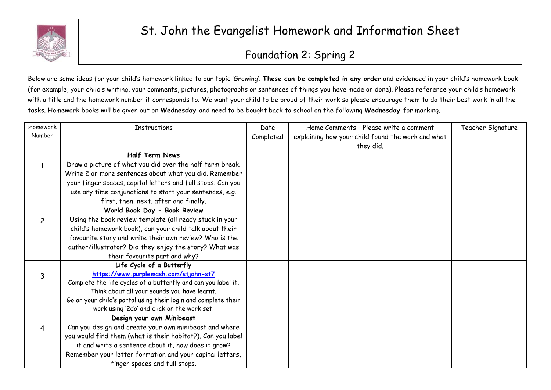

## St. John the Evangelist Homework and Information Sheet

## Foundation 2: Spring 2

Below are some ideas for your child's homework linked to our topic 'Growing'. **These can be completed in any order** and evidenced in your child's homework book (for example, your child's writing, your comments, pictures, photographs or sentences of things you have made or done). Please reference your child's homework with a title and the homework number it corresponds to. We want your child to be proud of their work so please encourage them to do their best work in all the tasks. Homework books will be given out on **Wednesday** and need to be bought back to school on the following **Wednesday** for marking.

| Homework       | <b>Instructions</b>                                            | Date      | Home Comments - Please write a comment            | Teacher Signature |
|----------------|----------------------------------------------------------------|-----------|---------------------------------------------------|-------------------|
| Number         |                                                                | Completed | explaining how your child found the work and what |                   |
|                |                                                                |           | they did.                                         |                   |
|                | <b>Half Term News</b>                                          |           |                                                   |                   |
|                | Draw a picture of what you did over the half term break.       |           |                                                   |                   |
|                | Write 2 or more sentences about what you did. Remember         |           |                                                   |                   |
|                | your finger spaces, capital letters and full stops. Can you    |           |                                                   |                   |
|                | use any time conjunctions to start your sentences, e.g.        |           |                                                   |                   |
|                | first, then, next, after and finally.                          |           |                                                   |                   |
|                | World Book Day - Book Review                                   |           |                                                   |                   |
| $\overline{2}$ | Using the book review template (all ready stuck in your        |           |                                                   |                   |
|                | child's homework book), can your child talk about their        |           |                                                   |                   |
|                | favourite story and write their own review? Who is the         |           |                                                   |                   |
|                | author/illustrator? Did they enjoy the story? What was         |           |                                                   |                   |
|                | their favourite part and why?                                  |           |                                                   |                   |
|                | Life Cycle of a Butterfly                                      |           |                                                   |                   |
| 3              | https://www.purplemash.com/stjohn-st7                          |           |                                                   |                   |
|                | Complete the life cycles of a butterfly and can you label it.  |           |                                                   |                   |
|                | Think about all your sounds you have learnt.                   |           |                                                   |                   |
|                | Go on your child's portal using their login and complete their |           |                                                   |                   |
|                | work using '2do' and click on the work set.                    |           |                                                   |                   |
|                | Design your own Minibeast                                      |           |                                                   |                   |
| 4              | Can you design and create your own minibeast and where         |           |                                                   |                   |
|                | you would find them (what is their habitat?). Can you label    |           |                                                   |                   |
|                | it and write a sentence about it, how does it grow?            |           |                                                   |                   |
|                | Remember your letter formation and your capital letters,       |           |                                                   |                   |
|                | finger spaces and full stops.                                  |           |                                                   |                   |